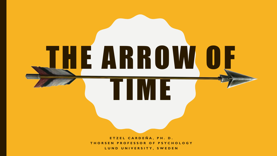**ETZEL CARDEÑA, PH. D. THORSEN PROFESSOR OF PSYCHOLOGY LUND UNIVERSITY, SWEDEN**

THE ARROW OF

TIME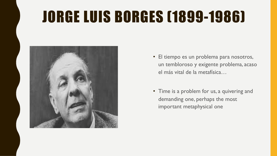## JORGE LUIS BORGES (1899-1986)



- El tiempo es un problema para nosotros, un tembloroso y exigente problema, acaso el más vital de la metafísica…
- Time is a problem for us, a quivering and demanding one, perhaps the most important metaphysical one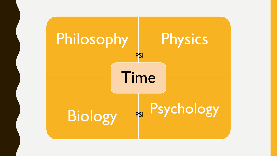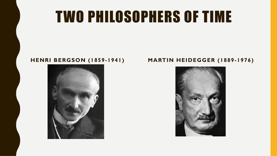### TWO PHILOSOPHERS OF TIME



#### **HENRI BERGSON (1859-1941) MARTIN HEIDEGGER (1889-1976)**

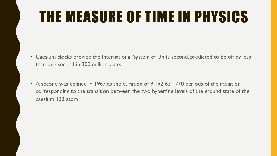# THE MEASURE OF TIME IN PHYSICS

- Caesium clocks provide the International System of Units second, predicted to be off by less than one second in 300 million years.
- A second was defined in 1967 as the duration of 9 192 631 770 periods of the radiation corresponding to the transition between the two hyperfine levels of the ground state of the caesium 133 atom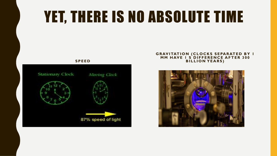### YET, THERE IS NO ABSOLUTE TIME



#### **GRAVITATION (CLOCKS SEPARATED BY 1 MM HAVE 1 S DIFFERENCE AFTER 300 BILLION YEARS)**

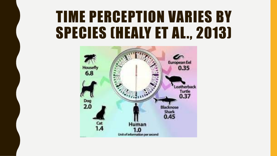#### TIME PERCEPTION VARIES BY SPECIES (HEALY ET AL., 2013)

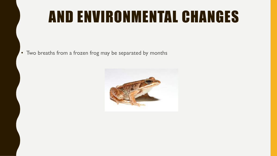### AND ENVIRONMENTAL CHANGES

• Two breaths from a frozen frog may be separated by months

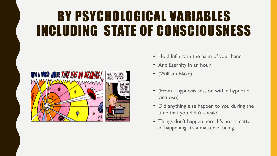#### BY PSYCHOLOGICAL VARIABLES INCLUDING STATE OF CONSCIOUSNESS



- Hold Infinity in the palm of your hand
- And Eternity in an hour
- (William Blake)
- (From a hypnosis session with a hypnotic virtuoso)
- Did anything else happen to you during the time that you didn't speak?
- Things don't happen here. It's not a matter of happening, it's a matter of being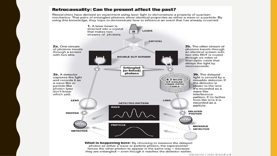#### **Retrocausality: Can the present affect the past?**

Researchers have devised an experiment using laser light to demonstrate a property of quantum mechanics: That pairs of entangled photons show identical properties as either a wave or a particle. By using this knowledge, they hope to demonstrate how to influence an event that has already occurred.



Chronicle / John Blanchard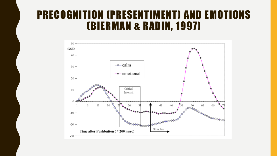#### PRECOGNITION (PRESENTIMENT) AND EMOTIONS (BIERMAN & RADIN, 1997)